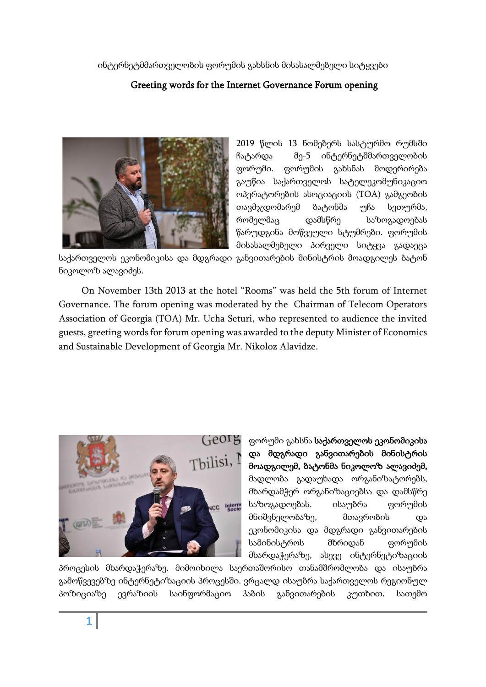ინტერნეტმმართველობის ფორუმის გახსნის მისასალმებელი სიტყვები

# Greeting words for the Internet Governance Forum opening



2019 წლის 13 ნომებერს სასტურმო რუმსში ჩატარდა მე-5 ინტერნეტმმართველობის ფორუმი. ფორუმის გახსნას მოდერირება გაუწია საქართველოს სატელეკომუნიკაციო ოპერატორების ასოციაციის (TOA) გამგეობის თავმჯდომარემ ბატონმა უჩა სეთურმა, რომელმაც დამსწრე საზოგადოებას წარუდგინა მოწვეული სტუმრები. ფორუმის მისასალმებელი პირველი სიტყვა გადაეცა

საქართველოს ეკონომიკისა და მდგრადი განვითარების მინისტრის მოადგილეს ბატონ ნიკოლოზ ალავიძეს.

On November 13th 2013 at the hotel "Rooms" was held the 5th forum of Internet Governance. The forum opening was moderated by the Chairman of Telecom Operators Association of Georgia (TOA) Mr. Ucha Seturi, who represented to audience the invited guests, greeting words for forum opening was awarded to the deputy Minister of Economics and Sustainable Development of Georgia Mr. Nikoloz Alavidze.



ფორუმი გახსნა საქართველოს ეკონომიკისა და მდგრადი განვითარების მინისტრის მოადგილემ, ბატონმა ნიკოლოზ ალავიძემ, მადლობა გადაუხადა ორგანიზატორებს, მხარდამჭერ ორგანიზაციებსა და დამსწრე საზოგადოებას. ისაუბრა ფორუმის მნიშვნელობაზე, მთავრობის და ეკონომიკისა და მდგრადი განვითარების სამინისტროს მხრიდან ფორუმის მხარდაჭერაზე, ასევე ინტერნეტიზაციის

პროცესის მხარდაჭერაზე. მიმოიხილა საერთაშორისო თანამშრომლობა და ისაუბრა გამოწვევებზე ინტერნეტიზაციის პროცესში. ვრცალდ ისაუბრა საქართველოს რეგიონულ პოზიციაზე ევრაზიის საინფორმაციო ჰაბის განვითარების კუთხით, სათემო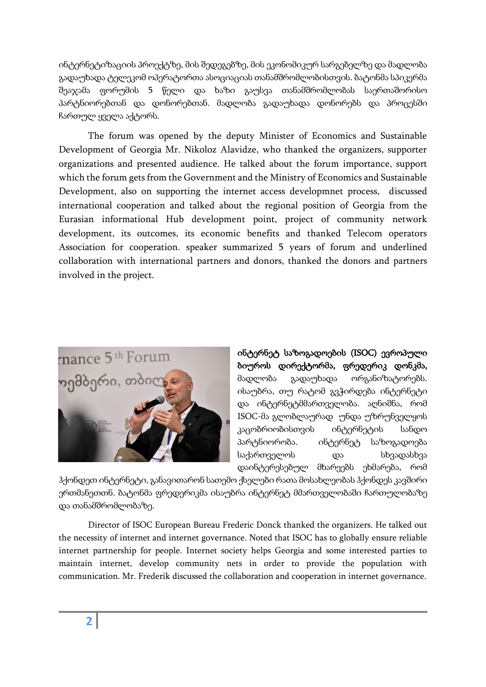ინტერნეტიზაციის პროექტზე, მის შედეგებზე, მის ეკონომიკურ სარგებელზე და მადლობა გადაუხადა ტელეკომ ოპერატორთა ასოციაციას თანამშრომლობისთვის. ბატონმა სპიკერმა შეაჯამა ფორუმის 5 წელი და ხაზი გაუსვა თანამშრომლობას საერთაშორისო პარტნიორებთან და დონორებთან. მადლობა გადაუხადა დონორებს და პროცესში ჩართულ ყველა აქტორს.

The forum was opened by the deputy Minister of Economics and Sustainable Development of Georgia Mr. Nikoloz Alavidze, who thanked the organizers, supporter organizations and presented audience. He talked about the forum importance, support which the forum gets from the Government and the Ministry of Economics and Sustainable Development, also on supporting the internet access developmnet process, discussed international cooperation and talked about the regional position of Georgia from the Eurasian informational Hub development point, project of community network development, its outcomes, its economic benefits and thanked Telecom operators Association for cooperation. speaker summarized 5 years of forum and underlined collaboration with international partners and donors, thanked the donors and partners involved in the project.



ინტერნეტ საზოგადოების (ISOC) ევროპული ბიუროს დირექტორმა, ფრედერიკ დონკმა, მადლობა გადაუხადა ორგანიზატორებს. ისაუბრა, თუ რატომ გვჭირდება ინტერნეტი და ინტერნეტმმართველობა. აღნიშნა, რომ ISOC-მა გლობლაურად უნდა უზრუნველყოს კაცობრიობისთვის ინტერნეტის სანდო პარტნიორობა. ინტერნეტ საზოგადოება საქართველოს და სხვადასხვა დაინტერესებულ მხარეებს ეხმარება, რომ

ჰქონდეთ ინტერნეტი, განავითარონ სათემო ქსელები რათა მოსახლეობას ჰქონდეს კავშირი ერთმანეთთნ. ბატონმა ფრედერიკმა ისაუბრა ინტერნეტ მმართველობაში ჩართულობაზე და თანამშრომლობაზე.

Director of ISOC European Bureau Frederic Donck thanked the organizers. He talked out the necessity of internet and internet governance. Noted that ISOC has to globally ensure reliable internet partnership for people. Internet society helps Georgia and some interested parties to maintain internet, develop community nets in order to provide the population with communication. Mr. Frederik discussed the collaboration and cooperation in internet governance.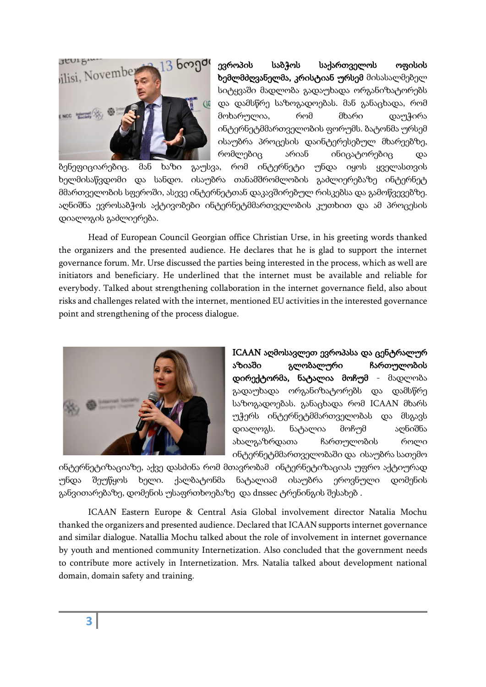

ევროპის საბჭოს საქართველოს ოფისის ხემლმძღვანელმა, კრისტიან ურსემ მისასალმებელ სიტყვაში მადლობა გადაუხადა ორგანიზატორებს და დამსწრე საზოგადოებას. მან განაცხადა, რომ მოხარულია, რომ მხარი დაუჭირა ინტერნეტმმართველობის ფორუმს. ბატონმა ურსემ ისაუბრა პროცესის დაინტერესებულ მხარეებზე, რომლებიც არიან ინიცატორებიც და

ბენეფიციარებიც. მან ხაზი გაუსვა, რომ ინტერნეტი უნდა იყოს ყველასთვის ხელმისაწვდომი და სანდო. ისაუბრა თანამშრომლობის გაძლიერებაზე ინტერნეტ მმართველობის სფეროში, ასევე ინტერნეტთან დაკავშირებულ რისკებსა და გამოწვევებზე. აღნიშნა ევროსაბჭოს აქტივობები ინტერნეტმმართველობის კუთხით და ამ პროცესის დიალოგის გაძლიერება.

Head of European Council Georgian office Christian Urse, in his greeting words thanked the organizers and the presented audience. He declares that he is glad to support the internet governance forum. Mr. Urse discussed the parties being interested in the process, which as well are initiators and beneficiary. He underlined that the internet must be available and reliable for everybody. Talked about strengthening collaboration in the internet governance field, also about risks and challenges related with the internet, mentioned EU activities in the interested governance point and strengthening of the process dialogue.



ICAAN აღმოსავლეთ ევროპასა და ცენტრალურ აზიაში გლობალური ჩართულობის დირექტორმა, ნატალია მოჩუმ - მადლობა გადაუხადა ორგანიზატორებს და დამსწრე საზოგადოებას. განაცხადა რომ ICAAN მხარს უჭერს ინტერნეტმმართველობას და მსგავს დიალოგს. ნატალია მოჩუმ აღნიშნა ახალგაზრდათა ჩართულობის როლი ინტერნეტმმართველობაში და ისაუბრა სათემო

ინტერნეტიზაციაზე, აქვე დასძინა რომ მთავრობამ ინტერნეტიზაციას უფრო აქტიურად უნდა შეუწყოს ხელი. ქალბატონმა ნატალიამ ისაუბრა ეროვნული დომენის განვითარებაზე, დომენის უსაფრთხოებაზე და dnssec ტრენინგის შესახებ .

ICAAN Eastern Europe & Central Asia Global involvement director Natalia Mochu thanked the organizers and presented audience. Declared that ICAAN supports internet governance and similar dialogue. Natallia Mochu talked about the role of involvement in internet governance by youth and mentioned community Internetization. Also concluded that the government needs to contribute more actively in Internetization. Mrs. Natalia talked about development national domain, domain safety and training.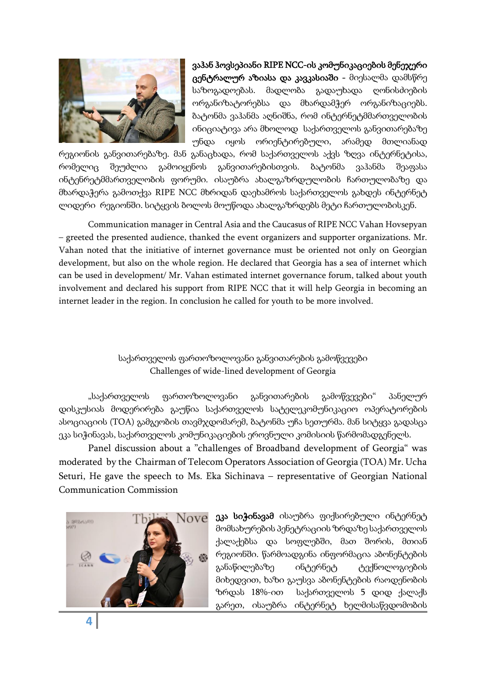

ვაჰან ჰოვსეპიანი RIPE NCC-ის კომუნიკაციების მენეჯერი ცენტრალურ აზიასა და კავკასიაში - მიესალმა დამსწრე საზოგადოებას. მადლობა გადაუხადა ღონისძიების ორგანიზატორებსა და მხარდამჭერ ორგანიზაციებს. ბატონმა ვაჰანმა აღნიშნა, რომ ინტერნეტმმართველობის ინიციატივა არა მხოლოდ საქართველოს განვითარებაზე უნდა იყოს ორიენტირებული, არამედ მთლიანად

რეგიონის განვითარებაზე. მან განაცხადა, რომ საქართველოს აქვს ზღვა ინტერნეტისა, რომელიც შეუძლია გამოიყენოს განვითარებისთვის. ბატონმა ვაჰანმა შეაფასა ინტენრეტმმართველობის ფორუმი. ისაუბრა ახალგაზრდულობის ჩართულობაზე და მხარდაჭერა გამოთქვა RIPE NCC მხრიდან დაეხამროს საქართველოს გახდეს ინტერნეტ ლიდერი რეგიონში. სიტყვის ბოლოს მოუწოდა ახალგაზრდებს მეტი ჩართულობისკენ.

Communication manager in Central Asia and the Caucasus of RIPE NCC Vahan Hovsepyan – greeted the presented audience, thanked the event organizers and supporter organizations. Mr. Vahan noted that the initiative of internet governance must be oriented not only on Georgian development, but also on the whole region. He declared that Georgia has a sea of internet which can be used in development/ Mr. Vahan estimated internet governance forum, talked about youth involvement and declared his support from RIPE NCC that it will help Georgia in becoming an internet leader in the region. In conclusion he called for youth to be more involved.

## საქართველოს ფართოზოლოვანი განვითარების გამოწვევები Challenges of wide-lined development of Georgia

"საქართველოს ფართოზოლოვანი განვითარების გამოწვევები" პანელურ დისკუსიას მოდერირება გაუწია საქართველოს სატელეკომუნიკაციო ოპერატორების ასოციაციის (TOA) გამგეობის თავმჯდომარემ, ბატონმა უჩა სეთურმა. მან სიტყვა გადასცა ეკა სიჭინავას, საქართველოს კომუნიკაციების ეროვნული კომისიის წარმომადგენელს.

 Panel discussion about a "challenges of Broadband development of Georgia" was moderated by the Chairman of Telecom Operators Association of Georgia (TOA) Mr. Ucha Seturi, He gave the speech to Ms. Eka Sichinava – representative of Georgian National Communication Commission



ეკა სიჭინავამ ისაუბრა ფიქსირებული ინტერნეტ მომსახურების პენეტრაციის ზრდაზე საქართველოს ქალაქებსა და სოფლებში, მათ შორის, მთიან რეგიონში. წარმოადგინა ინფორმაცია აბონენტების განაწილებაზე ინტერნეტ ტექნოლოგიების მიხედვით, ხაზი გაუსვა აბონენტების რაოდენობის ზრდას 18%-ით საქართველოს 5 დიდ ქალაქს გარეთ, ისაუბრა ინტერნეტ ხელმისაწვდომობის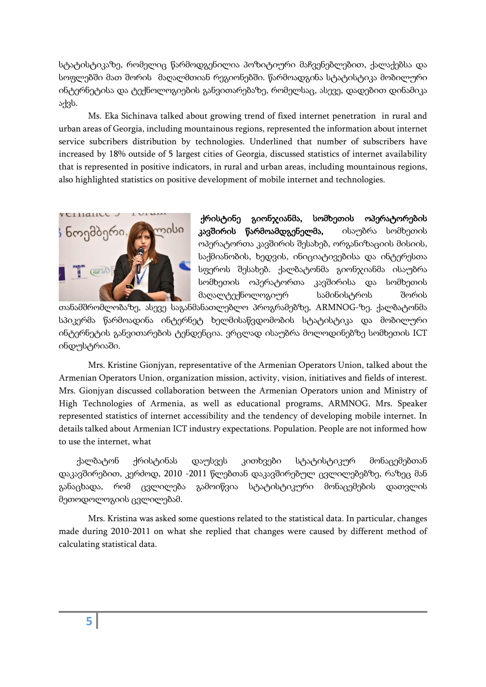სტატისტიკაზე, რომელიც წარმოდგენილია პოზიტიური მაჩვენებლებით, ქალაქებსა და სოფლებში მათ შორის მაღალმთიან რეგიონებში. წარმოადგინა სტატისტიკა მობილური ინტერნეტისა და ტექნოლოგიების განვითარებაზე, რომელსაც, ასევე, დადებით დინამიკა აქვს.

Ms. Eka Sichinava talked about growing trend of fixed internet penetration in rural and urban areas of Georgia, including mountainous regions, represented the information about internet service subcribers distribution by technologies. Underlined that number of subscribers have increased by 18% outside of 5 largest cities of Georgia, discussed statistics of internet availability that is represented in positive indicators, in rural and urban areas, including mountainous regions, also highlighted statistics on positive development of mobile internet and technologies.



 ქრისტინე გიონჯიანმა, სომხეთის ოპერატორების კავშირის წარმოამდგენელმა, ისაუბრა სომხეთის ოპერატორთა კავშირის შესახებ, ორგანიზაციის მისიის, საქმიანობის, ხედვის, ინიციატივებისა და ინტერესთა სფეროს შესახებ. ქალბატონმა გიონჯიანმა ისაუბრა სომხეთის ოპერატორთა კავშირისა და სომხეთის მაღალტექნოლოგიურ სამინისტროს შორის

თანამშრომლობაზე, ასევე საგანმანათლებლო პროგრამებზე, ARMNOG-ზე. ქალბატონმა სპიკერმა წარმოადინა ინტერნეტ ხელმისაწვდომობის სტატისტიკა და მობილური ინტერნეტის განვითარების ტენდენცია. ვრცლად ისაუბრა მოლოდინებზე სომხეთის ICT ინდუსტრიაში.

Mrs. Kristine Gionjyan, representative of the Armenian Operators Union, talked about the Armenian Operators Union, organization mission, activity, vision, initiatives and fields of interest. Mrs. Gionjyan discussed collaboration between the Armenian Operators union and Ministry of High Technologies of Armenia, as well as educational programs, ARMNOG. Mrs. Speaker represented statistics of internet accessibility and the tendency of developing mobile internet. In details talked about Armenian ICT industry expectations. Population. People are not informed how to use the internet, what

 ქალბატონ ქრისტინას დაუსვეს კითხვები სტატისტიკურ მონაცემებთან დაკავშირებით, კერძოდ, 2010 -2011 წლებთან დაკავშირებულ ცვლილებებზე, რაზეც მან განაცხადა, რომ ცვლილება გამოიწვია სტატისტიკური მონაცემების დათვლის მეთოდოლოგიის ცვლილებამ.

Mrs. Kristina was asked some questions related to the statistical data. In particular, changes made during 2010-2011 on what she replied that changes were caused by different method of calculating statistical data.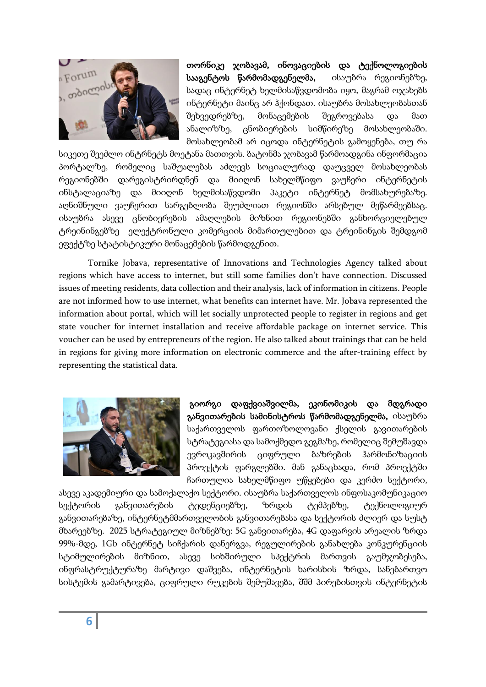

თორნიკე ჯობავამ, ინოვაციების და ტექნოლოგიების სააგენტოს წარმომადგენელმა, ისაუბრა რეგიონებზე, სადაც ინტერნეტ ხელმისაწვდომობა იყო, მაგრამ ოჯახებს ინტერნეტი მაინც არ ჰქონდათ. ისაუბრა მოსახლეობასთან შეხვედრებზე, მონაცემების შეგროვებასა და მათ ანალიზზე, ცნობიერების სიმწირეზე მოსახლეობაში. მოსახლეობამ არ იცოდა ინტერნეტის გამოყენება, თუ რა

სიკეთე შეეძლო ინტრნეტს მოეტანა მათთვის. ბატონმა ჯობავამ წარმოადგინა ინფორმაცია პორტალზე, რომელიც საშუალებას აძლევს სოციალურად დაუცველ მოსახლეობას რეგიონებში დარეგისტრირდნენ და მიიღონ სახელმწიფო ვაუჩერი ინტერნეტის ინსტალაციაზე და მიიღონ ხელმისაწვდომი პაკეტი ინტერნეტ მომსახურებაზე. აღნიშნული ვაუჩერით სარგებლობა შეუძლიათ რეგიონში არსებულ მეწარმეებსაც. ისაუბრა ასევე ცნობიერების ამაღლების მიზნით რეგიონებში განხორციელებულ ტრეინინგებზე ელექტრონული კომერციის მიმართულებით და ტრეინინგის შემდგომ ეფექტზე სტატისტიკური მონაცემების წარმოდგენით.

Tornike Jobava, representative of Innovations and Technologies Agency talked about regions which have access to internet, but still some families don't have connection. Discussed issues of meeting residents, data collection and their analysis, lack of information in citizens. People are not informed how to use internet, what benefits can internet have. Mr. Jobava represented the information about portal, which will let socially unprotected people to register in regions and get state voucher for internet installation and receive affordable package on internet service. This voucher can be used by entrepreneurs of the region. He also talked about trainings that can be held in regions for giving more information on electronic commerce and the after-training effect by representing the statistical data.



 გიორგი დაფქვიაშვილმა, ეკონომიკის და მდგრადი განვითარების სამინისტროს წარმომადგენელმა, ისაუბრა საქართველოს ფართოზოლოვანი ქსელის გავითარების სტრატეგიასა და სამოქმედო გეგმაზე, რომელიც შემუშავდა ევროკავშირის ციფრული ბაზრების ჰარმონიზაციის პროექტის ფარგლებში. მან განაცხადა, რომ პროექტში ჩართულია სახელმწიფო უწყებები და კერძო სექტორი,

ასევე აკადემიური და სამოქალაქო სექტორი. ისაუბრა საქართველოს ინფოსაკომუნიკაციო სექტორის განვითარების ტედენციებზე, ზრდის ტემპებზე, ტექნოლოგიურ განვითარებაზე, ინტერნეტმმართველობის განვითარებასა და სექტორის ძლიერ და სუსტ მხარეებზე. 2025 სტრატეგიულ მიზნებზე: 5G განვითარება, 4G დაფარვის არეალის ზრდა 99%-მდე, 1Gb ინტერნეტ სიჩქარის დანერგვა, რეგულირების განახლება კონკურენციის სტიმულირების მიზნით, ასევე სიხშირული სპექტრის მართვის გაუმჯობესება, ინფრასტრუქტურაზე მარტივი დაშვება, ინტერნეტის ხარისხის ზრდა, სანებართვო სისტემის გამარტივება, ციფრული რუკების შემუშავება, შშმ პირებისთვის ინტერნეტის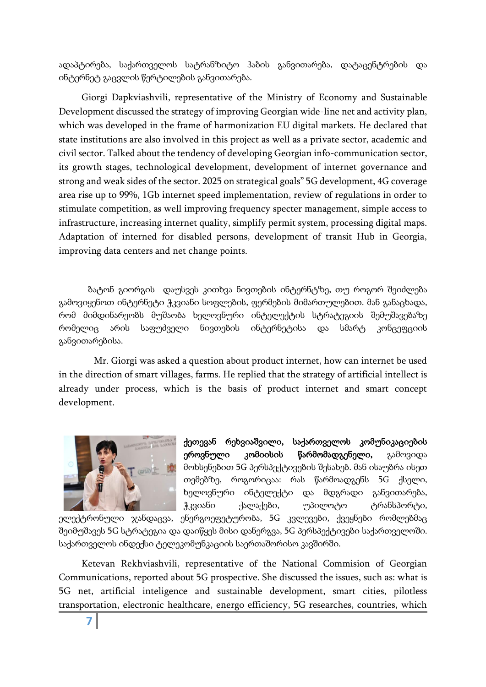ადაპტირება, საქართველოს სატრანზიტო ჰაბის განვითარება, დატაცენტრების და ინტერნეტ გაცვლის წერტილების განვითარება.

Giorgi Dapkviashvili, representative of the Ministry of Economy and Sustainable Development discussed the strategy of improving Georgian wide-line net and activity plan, which was developed in the frame of harmonization EU digital markets. He declared that state institutions are also involved in this project as well as a private sector, academic and civil sector. Talked about the tendency of developing Georgian info-communication sector, its growth stages, technological development, development of internet governance and strong and weak sides of the sector. 2025 on strategical goals" 5G development, 4G coverage area rise up to 99%, 1Gb internet speed implementation, review of regulations in order to stimulate competition, as well improving frequency specter management, simple access to infrastructure, increasing internet quality, simplify permit system, processing digital maps. Adaptation of interned for disabled persons, development of transit Hub in Georgia, improving data centers and net change points.

 ბატონ გიორგის დაუსვეს კითხვა ნივთების ინტერნტზე, თუ როგორ შეიძლება გამოვიყენოთ ინტერნეტი ჭკვიანი სოფლების, ფერმების მიმართულებით. მან განაცხადა, რომ მიმდინარეობს მუშაობა ხელოვნური ინტელექტის სტრატეგიის შემუშავებაზე რომელიც არის საფუძველი ნივთების ინტერნეტისა და სმარტ კონცეფციის განვითარებისა.

 Mr. Giorgi was asked a question about product internet, how can internet be used in the direction of smart villages, farms. He replied that the strategy of artificial intellect is already under process, which is the basis of product internet and smart concept development.



ქეთევან რეხვიაშვილი, საქართველოს კომუნიკაციების ეროვნული კომიისის წარმომადგენელი, გამოვიდა მოხსენებით 5G პერსპექტივების შესახებ. მან ისაუბრა ისეთ თემებზე, როგორიცაა: რას წარმოადგენს 5G ქსელი, ხელოვნური ინტელექტი და მდგრადი განვითარება, ჭკვიანი ქალაქები, უპილოტო ტრანსპორტი,

ელექტრონული ჯანდაცვა, ენერგოეფეტურობა, 5G კვლევები, ქვეყნები რომლებმაც შეიმუშავეს 5G სტრატეგია და დაიწყეს მისი დანერგვა, 5G პერსპექტივები საქართველოში. საქართველოს ინდექსი ტელეკომუნკაციის საერთაშორისო კავშირში.

Ketevan Rekhviashvili, representative of the National Commision of Georgian Communications, reported about 5G prospective. She discussed the issues, such as: what is 5G net, artificial inteligence and sustainable development, smart cities, pilotless transportation, electronic healthcare, energo efficiency, 5G researches, countries, which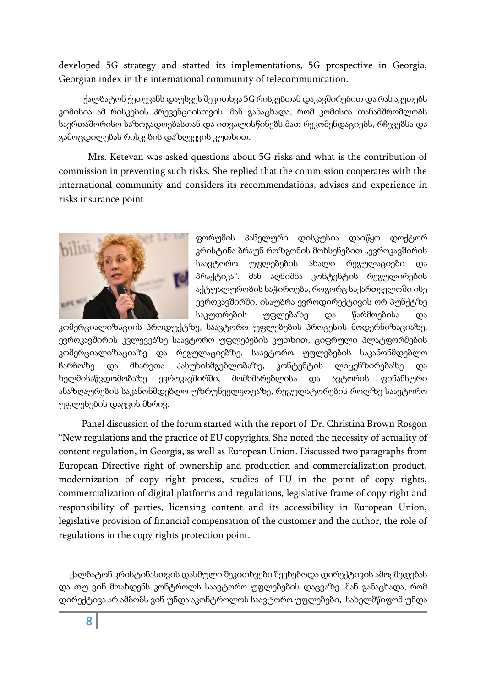developed 5G strategy and started its implementations, 5G prospective in Georgia, Georgian index in the international community of telecommunication.

 ქალბატონ ქეთევანს დაუსვეს შეკითხვა 5G რისკებთან დაკავშირებით დარას აკეთებს კომისია ამ რისკების პრევენციისთვის. მან განაცხადა, რომ კომისია თანამშრომლობს საერთაშორისო საზოგადოებასთან და ითვალისწინებს მათ რეკომენდაციებს, რჩევებსა და გამოცდილებას რისკების დაზღვევის კუთხით.

Mrs. Ketevan was asked questions about 5G risks and what is the contribution of commission in preventing such risks. She replied that the commission cooperates with the international community and considers its recommendations, advises and experience in risks insurance point



ფორუმის პანელური დისკუსია დაიწყო დოქტორ კრისტინა ბრაუნ როზგონის მოხსენებით "ევროკავშირის საავტორო უფლებების ახალი რეგულაციები და პრაქტიკა". მან აღნიშნა კონტენტის რეგულირების აქტუალურობის საჭიროება, როგორც საქართველოში ისე ევროკავშირში. ისაუბრა ევროდირექტივის ორ პუნქტზე საკუთრების უფლებაზე და წარმოებისა და

კომერციალიზაციის პროდუქტზე, საავტორო უფლებების პროცესის მოდერნიზაციაზე, ევროკავშირის კვლევებზე საავტორო უფლებების კუთხით, ციფრული პლატფორმების კომერციალიზაციაზე და რეგულაციებზე, საავტორო უფლებების საკანონმდებლო ჩარჩოზე და მხარეთა პასუხისმგებლობაზე, კონტენტის ლიცენზირებაზე და ხელმისაწვდომობაზე ევროკავშირში, მომხმარებლისა და ავტორის ფინანსური ანაზღაურების საკანონმდებლო უზრუნველყოფაზე, რეგულატორების როლზე საავტორო უფლებების დაცვის მხრივ.

Panel discussion of the forum started with the report of Dr. Christina Brown Rosgon "New regulations and the practice of EU copyrights. She noted the necessity of actuality of content regulation, in Georgia, as well as European Union. Discussed two paragraphs from European Directive right of ownership and production and commercialization product, modernization of copy right process, studies of EU in the point of copy rights, commercialization of digital platforms and regulations, legislative frame of copy right and responsibility of parties, licensing content and its accessibility in European Union, legislative provision of financial compensation of the customer and the author, the role of regulations in the copy rights protection point.

 ქალბატონ კრისტინასთვის დასმული შეკითხვები შეეხებოდა დირექტივის ამოქმედებას და თუ ვინ მოახდენს კონტროლს საავტორო უფლებების დაცვაზე. მან განაცხადა, რომ დირექტივა არ ამბობს ვინ უნდა აკონტროლოს საავტორო უფლებები, სახელმწიფომ უნდა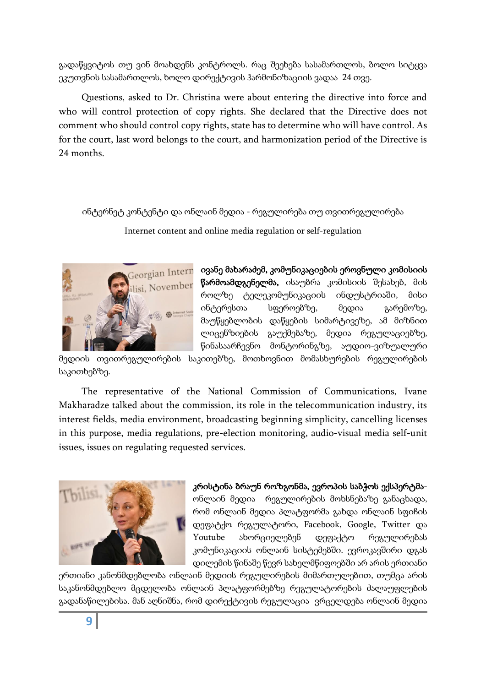გადაწყვიტოს თუ ვინ მოახდენს კონტროლს. რაც შეეხება სასამართლოს, ბოლო სიტყვა ეკუთვნის სასამართლოს, ხოლო დირექტივის ჰარმონიზაციის ვადაა 24 თვე.

Questions, asked to Dr. Christina were about entering the directive into force and who will control protection of copy rights. She declared that the Directive does not comment who should control copy rights, state has to determine who will have control. As for the court, last word belongs to the court, and harmonization period of the Directive is 24 months.

ინტერნეტ კონტენტი და ონლაინ მედია - რეგულირება თუ თვითრეგულირება

Internet content and online media regulation or self-regulation



 $\epsilon$ eorgian Intern $\;$  ივანე მახარაძემ, კომუნიკაციების ეროვნული კომისიის წარმოამდგენელმა, ისაუბრა კომისიის შესახებ, მის როლზე ტელეკომუნიკაციის ინდუსტრიაში, მისი ინტერესთა სფეროებზე, მედია გარემოზე, მაუწყებლობის დაწყების სიმარტივეზე, ამ მიზნით ლიცენზიების გაუქმებაზე, მედია რეგულაციებზე, წინასაარჩევნო მონტორინგზე, აუდიო-ვიზუალური

მედიის თვითრეგულირების საკითებზე, მოთხოვნით მომასხურების რეგულირების საკითხებზე.

The representative of the National Commission of Communications, Ivane Makharadze talked about the commission, its role in the telecommunication industry, its interest fields, media environment, broadcasting beginning simplicity, cancelling licenses in this purpose, media regulations, pre-election monitoring, audio-visual media self-unit issues, issues on regulating requested services.



კრისტინა ბრაუნ როზგონმა, ევროპის საბჭოს ექსპერტმაონლაინ მედია რეგულირების მოხსნებაზე განაცხადა, რომ ონლაინ მედია პლატფორმა გახდა ონლაინ სფიჩის დეფატქო რეგულატორი, Facebook, Google, Twitter და Youtube ახორციელებენ დეფაქტო რეგულირებას კომუნიკაციის ონლაინ სისტემებში. ევროკავშირი დგას დილემის წინაშე წევრ სახელმწიფოებში არ არის ერთიანი

ერთიანი კანონმდებლობა ონლაინ მედიის რეგულირების მიმართულებით, თუმცა არის საკანონმდებლო მცდელობა ონლაინ პლატფორმებზე რეგულატორების ძალაუფლების გადანაწილებისა. მან აღნიშნა, რომ დირექტივის რეგულაცია ვრცელდება ონლაინ მედია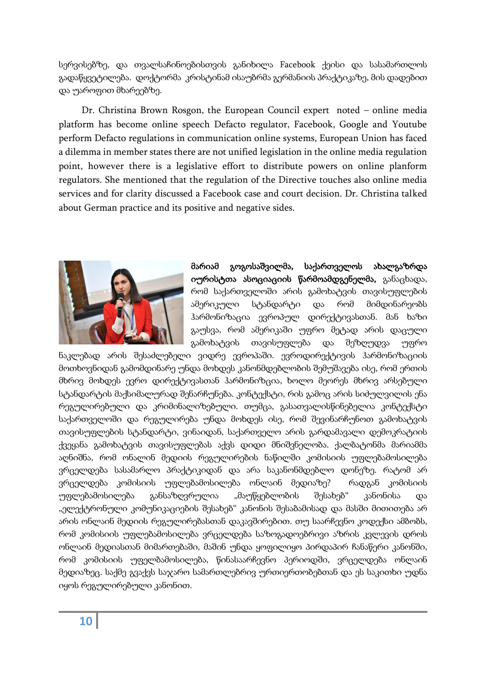სერვისებზე, და თვალსაჩინოებისთვის განიხილა Facebook ქეისი და სასამართლოს გადაწყვეტილება. დოქტორმა კრისტინამ ისაუბრმა გერმანიის პრაქტიკაზე, მის დადებით და უაროფით მხარეებზე.

Dr. Christina Brown Rosgon, the European Council expert noted – online media platform has become online speech Defacto regulator, Facebook, Google and Youtube perform Defacto regulations in communication online systems, European Union has faced a dilemma in member states there are not unified legislation in the online media regulation point, however there is a legislative effort to distribute powers on online planform regulators. She mentioned that the regulation of the Directive touches also online media services and for clarity discussed a Facebook case and court decision. Dr. Christina talked about German practice and its positive and negative sides.



მარიამ გოგოსაშვილმა, საქართველოს ახალგაზრდა იურისტთა ასოციაციის წარმოამდგენელმა, განაცხადა, რომ საქართველოში არის გამოხატვის თავისუფლების ამერიკული სტანდარტი და რომ მიმდინარეობს ჰარმონიზაცია ევროპულ დირექტივასთან. მან ხაზი გაუსვა, რომ ამერიკაში უფრო მეტად არის დაცული გამოხატვის თავისუფლება და შეზღუდვა უფრო

ნაკლებად არის შესაძლებელი ვიდრე ევროპაში. ევროდირექტივის ჰარმონიზაციის მოთხოვნიდან გამომდინარე უნდა მოხდეს კანონმდებლობის შემუშავება ისე, რომ ერთის მხრივ მოხდეს ევრო დირექტივასთან ჰარმონიზცია, ხოლო მეორეს მხრივ არსებული სტანდარტის მაქსიმალურად შენარჩუნება. კონტექსტი, რის გამოც არის სიძულვილის ენა რეგულირებული და კრიმინალიზებული. თუმცა, გასათვალისწინებელია კონტექსტი საქართველოში და რეგულირება უნდა მოხდეს ისე, რომ შევინარჩუნოთ გამოხატვის თავისუფლების სტანდარტი, ვინაიდან, საქართველო არის გარდამავალი დემოკრატიის ქვეყანა გამოხატვის თავისუფლებას აქვს დიდი მნიშვნელობა. ქალბატონმა მარიამმა აღნიშნა, რომ ონალინ მედიის რეგულირების ნაწილში კომისიის უფლებამოსილება ვრცელდება სასამარლო პრაქტიკიდან და არა საკანონმდებლო დონეზე. რატომ არ ვრცელდება კომისიის უფლებამოსილება ონლაინ მედიაზე? რადგან კომისიის უფლებამოსილება განსაზღვრულია "მაუწყებლობის შესახებ" კანონისა და "ელექტრონული კომუნიკაციების შესახებ" კანონის შესაბამისად და მასში მითითება არ არის ონლაინ მედიის რეგულირებასთან დაკავშირებით. თუ საარჩევნო კოდექსი ამბობს, რომ კომისიის უფლებამოსილება ვრცელდება საზოგადოებრივი აზრის კვლევის დროს ონლაინ მედიასთან მიმართებაში, მაშინ უნდა ყოფილიყო პირდაპირ ჩანაწერი კანონში, რომ კომისიის უფელბამოსილება, წინასაარჩევნო პერიოდში, ვრცელდება ონლაინ მედიაზეც. საქმე გვაქვს საჯარო სამართლებრივ ურთიერთობებთან და ეს საკითხი უდნა იყოს რეგულირებული კანონით.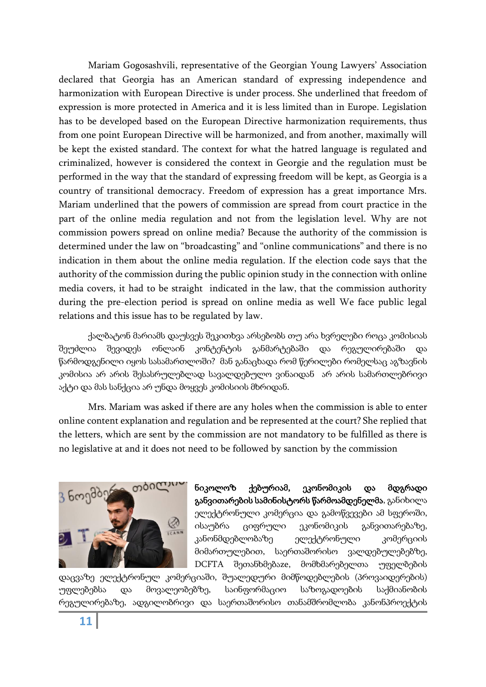Mariam Gogosashvili, representative of the Georgian Young Lawyers' Association declared that Georgia has an American standard of expressing independence and harmonization with European Directive is under process. She underlined that freedom of expression is more protected in America and it is less limited than in Europe. Legislation has to be developed based on the European Directive harmonization requirements, thus from one point European Directive will be harmonized, and from another, maximally will be kept the existed standard. The context for what the hatred language is regulated and criminalized, however is considered the context in Georgie and the regulation must be performed in the way that the standard of expressing freedom will be kept, as Georgia is a country of transitional democracy. Freedom of expression has a great importance Mrs. Mariam underlined that the powers of commission are spread from court practice in the part of the online media regulation and not from the legislation level. Why are not commission powers spread on online media? Because the authority of the commission is determined under the law on "broadcasting" and "online communications" and there is no indication in them about the online media regulation. If the election code says that the authority of the commission during the public opinion study in the connection with online media covers, it had to be straight indicated in the law, that the commission authority during the pre-election period is spread on online media as well We face public legal relations and this issue has to be regulated by law.

ქალბატონ მარიამს დაუსვეს შეკითხვა არსებობს თუ არა ხვრელები როცა კომისიას შეუძლია შევიდეს ონლაინ კონტენტის განმარტებაში და რეგულირებაში და წარმოდგენილი იყოს სასამართლოში? მან განაცხადა რომ წერილები რომელსაც აგზავნის კომისია არ არის შესასრულებლად სავალდებულო ვინაიდან არ არის სამართლებრივი აქტი და მას სანქცია არ უნდა მოყვეს კომისიის მხრიდან.

Mrs. Mariam was asked if there are any holes when the commission is able to enter online content explanation and regulation and be represented at the court? She replied that the letters, which are sent by the commission are not mandatory to be fulfilled as there is no legislative at and it does not need to be followed by sanction by the commission



ნიკოლოზ ქებურიამ, ეკონომიკის და მდგრადი განვითარების სამინისტორს წარმოამდენელმა, განიხილა ელექტრონული კომერცია და გამოწვევები ამ სფეროში, ისაუბრა ციფრული ეკონომიკის განვითარებაზე, კანონმდებლობაზე ელექტრონული კომერციის მიმართულებით, საერთაშორისო ვალდებულებებზე, DCFTA შეთანხმებაze, მომხმარებელთა უფელბების

დაცვაზე ელექტრონულ კომერციაში, შუალედური მიმწოდებლების (პროვაიდერების) უფლებებსა და მოვალეობებზე, საინფორმაციო საზოგადოების საქმიანობის რეგულირებაზე, ადგილობრივი და საერთაშორისო თანამშრომლობა კანონპროექტის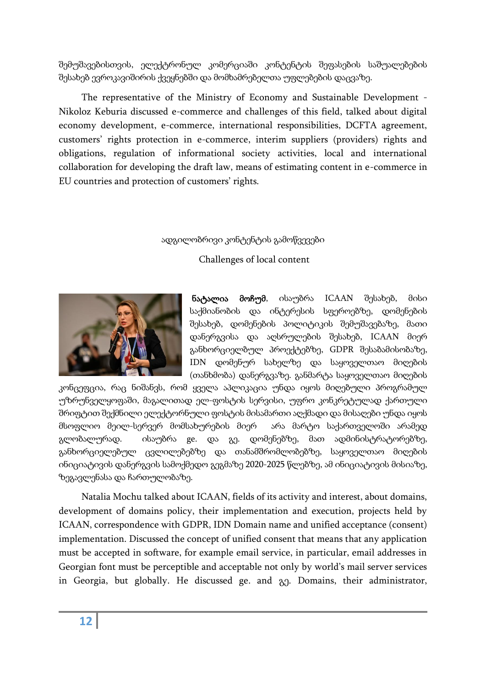შემუშავებისთვის, ელექტრონულ კომერციაში კონტენტის შეფასების საშუალებების შესახებ ევროკავიშირის ქვეყნებში და მომხამრებელთა უფლებების დაცვაზე.

The representative of the Ministry of Economy and Sustainable Development - Nikoloz Keburia discussed e-commerce and challenges of this field, talked about digital economy development, e-commerce, international responsibilities, DCFTA agreement, customers' rights protection in e-commerce, interim suppliers (providers) rights and obligations, regulation of informational society activities, local and international collaboration for developing the draft law, means of estimating content in e-commerce in EU countries and protection of customers' rights.

### ადგილობრივი კონტენტის გამოწვევები

Challenges of local content



ნატალია მოჩუმ, ისაუბრა ICAAN შესახებ, მისი საქმიანობის და ინტერესის სფეროებზე, დომენების შესახებ, დომენების პოლიტიკის შემუშავებაზე, მათი დანერგვისა და აღსრულების შესახებ, ICAAN მიერ განხორციელბულ პროექტებზე, GDPR შესაბამისობაზე, IDN დომენურ სახელზე და საყოველთაო მიღების (თანხმობა) დანერგვაზე. განმარტა საყოველთაო მიღების

კონცეფცია, რაც ნიშანვს, რომ ყველა აპლიკაცია უნდა იყოს მიღებული პროგრამულ უზრუნველყოფაში, მაგალითად ელ-ფოსტის სერვისი, უფრო კონკრეტულად ქართული შრიფტით შექმნილი ელექტორნული ფოსტის მისამართი აღქმადი და მისაღები უნდა იყოს მსოფლიო მეილ-სერვერ მომსახურების მიერ არა მარტო საქართველოში არამედ გლობალურად. ისაუბრა ge. და გე. დომენებზე, მათ ადმინის<sub>(</sub>გრა<sub>(</sub>გორებზე, განხორციელებულ ცვლილებებზე და თანამშრომლობებზე, საყოველთაო მიღების ინიციატივის დანერგვის სამოქმედო გეგმაზე 2020-2025 წლებზე, ამ ინიციატივის მისიაზე, ზეგავლენასა და ჩართულობაზე.

Natalia Mochu talked about ICAAN, fields of its activity and interest, about domains, development of domains policy, their implementation and execution, projects held by ICAAN, correspondence with GDPR, IDN Domain name and unified acceptance (consent) implementation. Discussed the concept of unified consent that means that any application must be accepted in software, for example email service, in particular, email addresses in Georgian font must be perceptible and acceptable not only by world's mail server services in Georgia, but globally. He discussed ge. and გე. Domains, their administrator,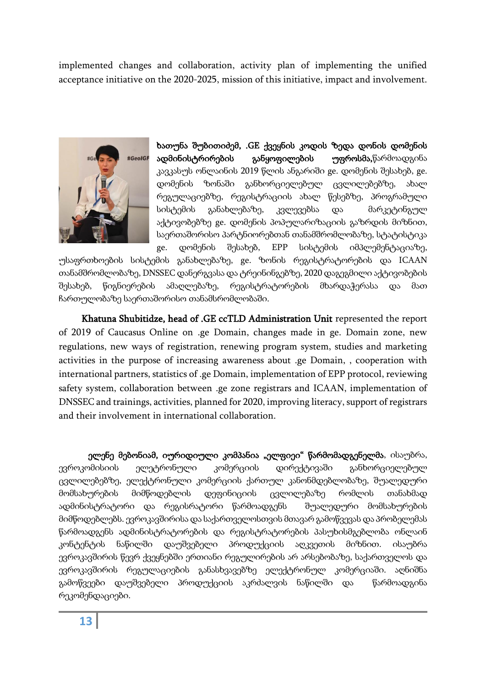implemented changes and collaboration, activity plan of implementing the unified acceptance initiative on the 2020-2025, mission of this initiative, impact and involvement.



ხათუნა შუბითიძემ, .GE ქვეყნის კოდის ზედა დონის დომენის ადმინისტრირების განყოფილების უფროსმა,წარმოადგინა კავკასუს ონლაინის 2019 წლის ანგარიში ge. დომენის შესახებ, ge. დომენის ზონაში განხორციელებულ ცვლილებებზე, ახალ რეგულაციებზე, რეგისტრაციის ახალ წესებზე, პროგრამული სისტემის განახლებაზე, კვლევებსა და მარკეტინგულ აქტივობებზე ge. დომენის პოპულარიზაციის გაზრდის მიზნით, საერთაშორისო პარტნიორებთან თანამშრომლობაზე, სტატისტიკა ge. დომენის შესახებ, EPP სისტემის იმპლემენტაციაზე,

უსაფრთხოების სისტემის განახლებაზე, ge. ზონის რეგისტრატორების და ICAAN თანამშრომლობაზე, DNSSEC დანერგვასა და ტრეინინგებზე, 2020 დაგეგმილი აქტივობების შესახებ, წიგნიერების ამაღლებაზე, რეგისტრატორების მხარდაჭერასა და მათ ჩართულობაზე საერთაშორისო თანამსრომლობაში.

Khatuna Shubitidze, head of .GE ccTLD Administration Unit represented the report of 2019 of Caucasus Online on .ge Domain, changes made in ge. Domain zone, new regulations, new ways of registration, renewing program system, studies and marketing activities in the purpose of increasing awareness about .ge Domain, , cooperation with international partners, statistics of .ge Domain, implementation of EPP protocol, reviewing safety system, collaboration between .ge zone registrars and ICAAN, implementation of DNSSEC and trainings, activities, planned for 2020, improving literacy, support of registrars and their involvement in international collaboration.

ელენე მებონიამ, იურიდიული კომპანია "ელფიეი" წარმომადგენელმა, ისაუბრა, ევროკომისიის ელეტრონული კომერციის დირექტივაში განხორციელებულ ცვლილებებზე, ელექტრონული კომერციის ქართულ კანონმდებლობაზე, შუალედური მომსახურების მიმწოდებლის დეფინიციის ცვლილებაზე რომლის თანახმად ადმინისტრატორი და რეგისრატორი წარმოადგენს შუალედური მომსახურების მიმწოდებლებს. ევროკავშირისა და საქართველოსთვის მთავარ გამოწვევას და პრობელემას წარმოადგენს ადმინისტრატორების და რეგისტრატორების პასუხისმგებლობა ონლაინ კონტენტის ნაწილში დაუშვებელი პროდუქციის აღკვეთის მიზნით. ისაუბრა ევროკავშირის წევრ ქვეყნებში ერთიანი რეგულირების არ არსებობაზე, საქართველოს და ევროკავშირის რეგულაციების განასხვავებზე ელექტრონულ კომერციაში. აღნიშნა გამოწვეები დაუშვებელი პროდუქციის აკრძალვის ნაწილში და წარმოადგინა რეკომენდაციები.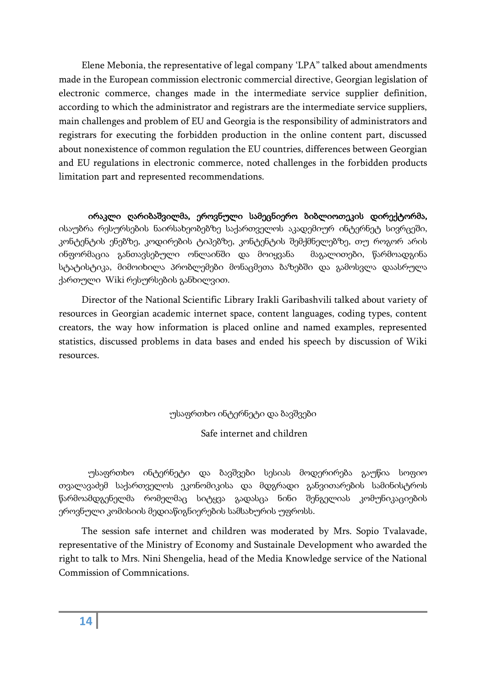Elene Mebonia, the representative of legal company 'LPA" talked about amendments made in the European commission electronic commercial directive, Georgian legislation of electronic commerce, changes made in the intermediate service supplier definition, according to which the administrator and registrars are the intermediate service suppliers, main challenges and problem of EU and Georgia is the responsibility of administrators and registrars for executing the forbidden production in the online content part, discussed about nonexistence of common regulation the EU countries, differences between Georgian and EU regulations in electronic commerce, noted challenges in the forbidden products limitation part and represented recommendations.

ირაკლი ღარიბაშვილმა, ეროვნული სამეცნიერო ბიბლიოთეკის დირექტორმა, ისაუბრა რესურსების ნაირსახეობებზე საქართველოს აკადემიურ ინტერნეტ სივრცეში, კონტენტის ენებზე, კოდირების ტიპებზე, კონტენტის შემქმნელებზე, თუ როგორ არის ინფორმაცია განთავსებული ონლაინში და მოიყვანა მაგალითები, წარმოადგინა სტატისტიკა, მიმოიხილა პრობლემები მონაცმეთა ბაზებში და გამოსვლა დაასრულა ქართული Wiki რესურსების განხილვით.

Director of the National Scientific Library Irakli Garibashvili talked about variety of resources in Georgian academic internet space, content languages, coding types, content creators, the way how information is placed online and named examples, represented statistics, discussed problems in data bases and ended his speech by discussion of Wiki resources.

# უსაფრთხო ინტერნეტი და ბავშვები

Safe internet and children

უსაფრთხო ინტერნეტი და ბავშვები სესიას მოდერირება გაუწია სოფიო თვალავაძემ საქართველოს ეკონომიკისა და მდგრადი განვითარების სამინისტროს წარმოამდგენელმა რომელმაც სიტყვა გადასცა ნინი შენგელიას კომუნიკაციების ეროვნული კომისიის მედიაწიგნიერების სამსახურის უფროსს.

The session safe internet and children was moderated by Mrs. Sopio Tvalavade, representative of the Ministry of Economy and Sustainale Development who awarded the right to talk to Mrs. Nini Shengelia, head of the Media Knowledge service of the National Commission of Commnications.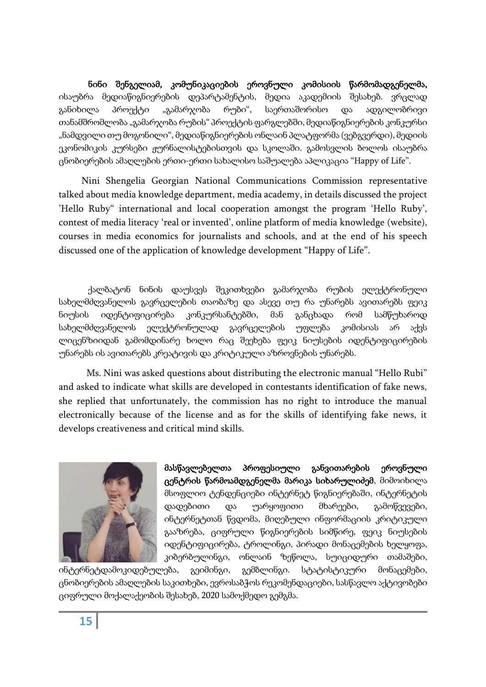ნინი შენგელიამ, კომუნიკაციების ეროვნული კომისიის წარმომადგენელმა, ისაუბრა მედიაწიგნიერების დეპარტამენტის, მედია აკადემიის შესახებ. ვრცლად განიხილა პროექტი "გამარჯობა რუბი", საერთაშორისო და ადგილობრივი თანამშრომლობა "გამარჯობა რუბის" პროექტის ფარგლებში, მედიაწიგნიერების კონკურსი "ნამდვილი თუ მოგონილი", მედიაწიგნიერების ონლაინ პლატფორმა (ვებგვერდი), მედიის ეკონომიკის კურსები ჟურნალისტებისთვის და სკოლაში. გამოსვლის ბოლოს ისაუბრა ცნობიერების ამაღლების ერთი-ერთი სახალისო საშუალება აპლიკაცია "Happy of Life".

Nini Shengelia Georgian National Communications Commission representative talked about media knowledge department, media academy, in details discussed the project 'Hello Ruby" international and local cooperation amongst the program 'Hello Ruby', contest of media literacy 'real or invented', online platform of media knowledge (website), courses in media economics for journalists and schools, and at the end of his speech discussed one of the application of knowledge development "Happy of Life".

ქალბატონ ნინის დაუსვეს შეკითხვები გამარჯობა რუბის ელექტრონული სახელმძღვანელოს გავრცელების თაობაზე და ასევე თუ რა უნარებს ავითარებს ფეიკ ნიუსის იდენტიფიცირება კონკურსანტებში, მან განცხადა რომ სამწუხაროდ სახელმძღვანელოს ელექტრონულად გავრცელების უფლება კომისიას არ აქვს ლიცენზიიდან გამომდინარე ხოლო რაც შეეხება ფეიკ ნიუსების იდენტიფიცირების უნარებს ის ავითარებს კრეატივის და კრიტიკული აზროვნების უნარებს.

 Ms. Nini was asked questions about distributing the electronic manual "Hello Rubi" and asked to indicate what skills are developed in contestants identification of fake news, she replied that unfortunately, the commission has no right to introduce the manual electronically because of the license and as for the skills of identifying fake news, it develops creativeness and critical mind skills.



მასწავლებელთა პროფესიული განვითარების ეროვნული ცენტრის წარმოამდგენელმა მარიკა სიხარულიძემ, მიმოიხილა მსოფლიო ტენდენციები ინტერნეტ წიგნიერებაში, ინტერნეტის დადებითი და უარყოფითი მხარეები, გამოწვევები, ინტერნეტთან წვდომა, მიღებული ინფორმაციის კრიტიკული გააზრება, ციფრული წიგნიერების სიმწირე, ფეიკ ნიუსების იდენტიფიცირება, ტროლინგი, პირადი მონაცემების ხელყოფა, კიბერბულინგი, ონლაინ ზეწოლა, სუიციდური თამაშები,

ინტერნეტდამოკიდებულება, გეიმინგი, გემბლინგი. სტატისტიკური მონაცემები, ცნობიერების ამაღლების საკითხები, ევროსაბჭოს რეკომენდაციები, სასწავლო აქტივობები ციფრული მოქალაქეობის შესახებ, 2020 სამოქმედო გემგმა.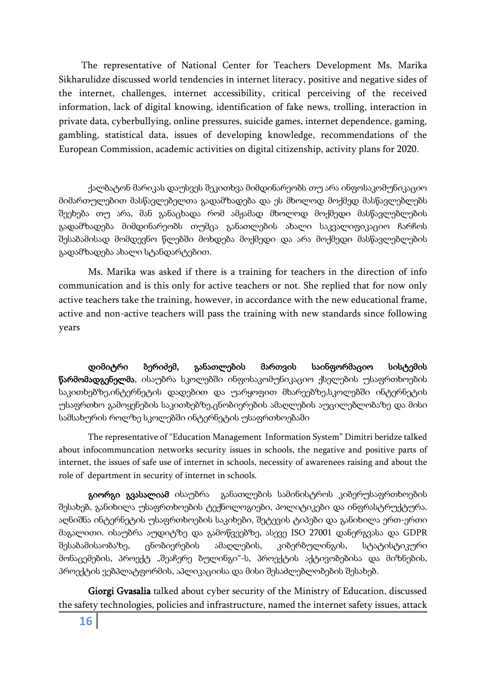The representative of National Center for Teachers Development Ms. Marika Sikharulidze discussed world tendencies in internet literacy, positive and negative sides of the internet, challenges, internet accessibility, critical perceiving of the received information, lack of digital knowing, identification of fake news, trolling, interaction in private data, cyberbullying, online pressures, suicide games, internet dependence, gaming, gambling, statistical data, issues of developing knowledge, recommendations of the European Commission, academic activities on digital citizenship, activity plans for 2020.

ქალბატონ მარიკას დაუსვეს შეკითხვა მიმდინარეობს თუ არა ინფოსაკომუნიკაციო მიმართულებით მასწავლებელთა გადამზადება და ეს მხოლოდ მოქმედ მასწავლებლებს შეეხება თუ არა, მან განაცხადა რომ ამჟამად მხოლოდ მოქმედი მასწავლებლების გადამზადება მიმდინარეობს თუმცა განათლების ახალი საკვალიფიკაციო ჩარჩოს შესაბამისად მომდევნო წლებში მოხდება მოქმედი და არა მოქმედი მასწავლებლების გადამზადება ახალი სტანდარტებით.

 Ms. Marika was asked if there is a training for teachers in the direction of info communication and is this only for active teachers or not. She replied that for now only active teachers take the training, however, in accordance with the new educational frame, active and non-active teachers will pass the training with new standards since following years

 დიმიტრი ბერიძემ, განათლების მართვის საინფორმაციო სისტემის წარმომადგენელმა, ისაუბრა სკოლებში ინფოსაკომუნიკაციო ქსელების უსაფრთხოების საკითხებზე,ინტერნეტის დადებით და უარყოფით მხარეებზე,სკოლებში ინტერნეტის უსაფრთხო გამოყენების საკითხებზე,ცნობიერების ამაღლების აუცილებლობაზე და მისი სამსახურის როლზე სკოლებში ინტერნეტის უსაფრთხოებაში

The representative of "Education Management Information System" Dimitri beridze talked about infocommuncation networks security issues in schools, the negative and positive parts of internet, the issues of safe use of internet in schools, necessity of awarenees raising and about the role of department in security of internet in schools.

გიორგი გვასალიამ ისაუბრა განათლების სამინისტროს კიბერუსაფრთხოების შესახებ, განიხილა უსაფრთხოების ტექნოლოგიები, პოლიტიკები და ინფრასტრუქტურა. აღნიშნა ინტერნეტის უსაფრთხოების საკიხები, შეტევის ტიპები და განიხილა ერთ-ერთი მაგალითი. ისაუბრა აუდიტზე და გამოწვეებზე, ასევე ISO 27001 დანერგვასა და GDPR შესაბამისაობაზე, ცნობიერების ამაღლების, კიბერბულინგის, სტატისტიკური მონაცემების, პროექტ "შეაჩერე ბულინგი"-ს, პროექტის აქტივობებისა და მიზნების, პროექტის ვებპლატფორმის, აპლიკაციისა და მისი შესაძლებლობების შესახებ.

 Giorgi Gvasalia talked about cyber security of the Ministry of Education, discussed the safety technologies, policies and infrastructure, named the internet safety issues, attack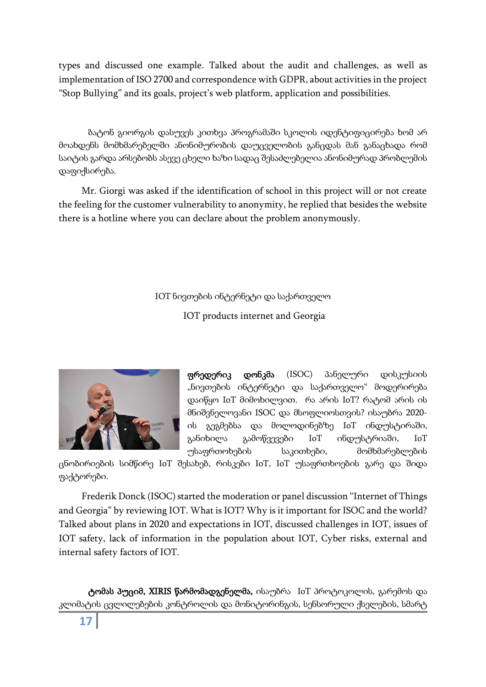types and discussed one example. Talked about the audit and challenges, as well as implementation of ISO 2700 and correspondence with GDPR, about activities in the project "Stop Bullying" and its goals, project's web platform, application and possibilities.

ბატონ გიორგის დასუვეს კითხვა პროგრამაში სკოლის იდენტიფიცირება ხომ არ მოახდენს მომხმარებელში ანონიმურობის დაუცველობის განცდას მან განაცხადა რომ საიტის გარდა არსებობს ასევე ცხელი ხაზი სადაც შესაძლებელია ანონიმურად პრობლემის დაფიქსირება.

Mr. Giorgi was asked if the identification of school in this project will or not create the feeling for the customer vulnerability to anonymity, he replied that besides the website there is a hotline where you can declare about the problem anonymously.

IOT ნივთების ინტერნეტი და საქართველო

IOT products internet and Georgia



ფრედერიკ დონკმა (ISOC) პანელური დისკუსიის "ნივთების ინტერნეტი და საქართველო" მოდერირება დაიწყო IoT მიმოხილვით. რა არის IoT? რატომ არის ის მნიშვნელოვანი ISOC და მსოფლიოსთვის? ისაუბრა 2020 ის გეგმებსა და მოლოდინებზე IoT ინდუსტირაში, განიხილა გამოწვევები IoT ინდუსტრიაში, IoT უსაფრთოხების საკითხები, მომხმარებლების

ცნობირიების სიმწირე IoT შესახებ, რისკები IoT, IoT უსაფრთხოების გარე და შიდა ფაქტორები.

Frederik Donck (ISOC) started the moderation or panel discussion "Internet of Things and Georgia" by reviewing IOT. What is IOT? Why is it important for ISOC and the world? Talked about plans in 2020 and expectations in IOT, discussed challenges in IOT, issues of IOT safety, lack of information in the population about IOT, Cyber risks, external and internal safety factors of IOT.

ტომას პუციმ, XIRIS წარმომადგენელმა, ისაუბრა IoT პროტოკოლის, გარემოს და კლიმატის ცვლილებების კონტროლის და მონიტორინგის, სენსორული ქსელების, სმარტ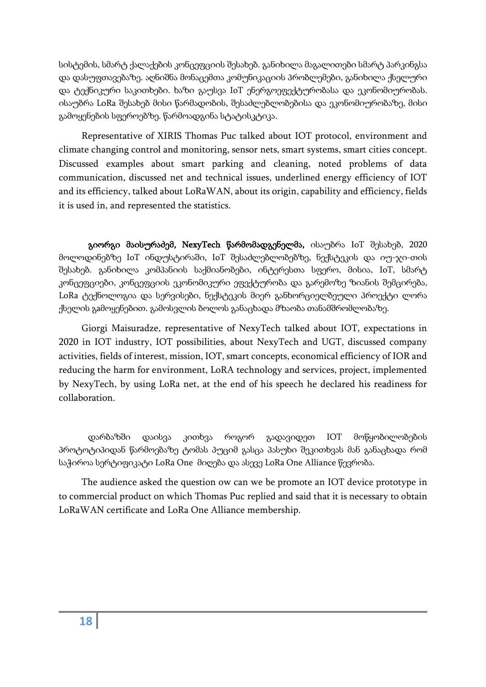სისტემის, სმარტ ქალაქების კონცეფციის შესახებ. განიხილა მაგალითები სმარტ პარკინგსა და დასუფთავებაზე. აღნიშნა მონაცემთა კომუნიკაციის პრობლემები, განიხილა ქსელური და ტექნიკური საკითხები. ხაზი გაუსვა IoT ენერგოეფექტურობასა და ეკონომიურობას. ისაუბრა LoRa შესახებ მისი წარმადობის, შესაძლებლობებისა და ეკონომიურობაზე, მისი გამოყენების სფეროებზე. წარმოადგინა სტატისკტიკა.

Representative of XIRIS Thomas Puc talked about IOT protocol, environment and climate changing control and monitoring, sensor nets, smart systems, smart cities concept. Discussed examples about smart parking and cleaning, noted problems of data communication, discussed net and technical issues, underlined energy efficiency of IOT and its efficiency, talked about LoRaWAN, about its origin, capability and efficiency, fields it is used in, and represented the statistics.

გიორგი მაისურაძემ, NexyTech წარმომადგენელმა, ისაუბრა IoT შესახებ, 2020 მოლოდინებზე IoT ინდუსტირაში, IoT შესაძლებლობებზე, ნექსტეკის და იუ-ჯი-თის შესახებ. განიხილა კომპანიის საქმიანობები, ინტერესთა სფერო, მისია, IoT, სმარტ კონცეფციები, კონცეფციის ეკონომიკური ეფექტურობა და გარემოზე ზიანის შემცირება, LoRa ტექნოლოგია და სერვისები, ნექსტეკის მიერ განხორციელბეული პროექტი ლორა ქსელის გaმოყენებით. გამოსვლის ბოლოს განაცხადა მზაობა თანამშრომლობაზე.

Giorgi Maisuradze, representative of NexyTech talked about IOT, expectations in 2020 in IOT industry, IOT possibilities, about NexyTech and UGT, discussed company activities, fields of interest, mission, IOT, smart concepts, economical efficiency of IOR and reducing the harm for environment, LoRA technology and services, project, implemented by NexyTech, by using LoRa net, at the end of his speech he declared his readiness for collaboration.

დარბაზში დაისვა კითხვა როგორ გადავიდეთ IOT მოწყობილობების პროტოტიპიდან წარმოებაზე ტომას პუციმ გასცა პასუხი შეკითხვას მან განაცხადა რომ საჭიროა სერტიფიკატი LoRa One მიღება და ასევე LoRa One Alliance წევრობა.

The audience asked the question ow can we be promote an IOT device prototype in to commercial product on which Thomas Puc replied and said that it is necessary to obtain LoRaWAN certificate and LoRa One Alliance membership.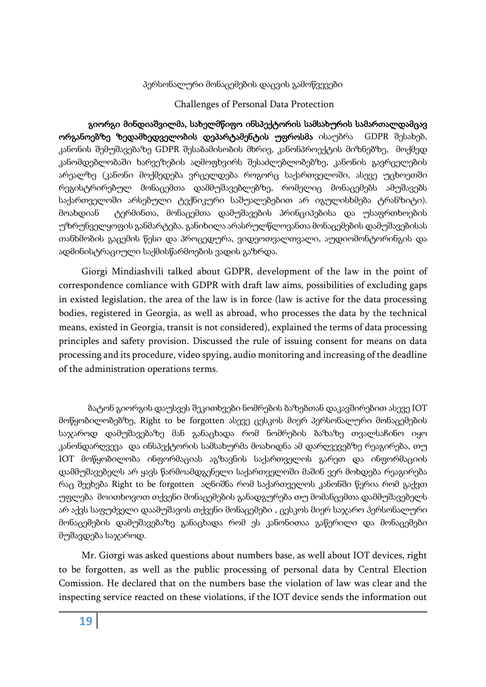#### პერსონალური მონაცემების დაცვის გამოწვევები

#### Challenges of Personal Data Protection

გიორგი მინდიაშვილმა, სახელმწიფო ინსპექტორის სამსახურის სამართალდამცავ ორგანოებზე ზედამხედველობის დეპარტამენტის უფროსმა ისაუბრა GDPR შესახებ, კანონის შემუშავებაზე GDPR შესაბამისობის მხრივ, კანონპროექტის მიზნებზე, მოქმედ კანომდებლობაში ხარვეზების აღმოფხვირს შესაძლებლობებზე, კანონის გავრცელების არეალზე (კანონი მოქმედება ვრცელდება როგორც საქართველოში, ასევე უცხოეთში რეგისტრირებულ მონაცემთა დამმუშავებლებზე, რომელიც მონაცემებს ამუშავებს საქართველოში არსებული ტექნიკური საშუალებებით არ იგულისხმება ტრანზიტი). მოახდიან ტერმინთა, მონაცემთა დამუშავების პრინციპებისა და უსაფრთხოების უზრუნველყოფის განმარტება. განიხილა არასრულწლოვანთა მონაცემების დამუშავებისას თანხმობის გაცემის წესი და პროცედურა, ვიდეოთვალთვალი, აუდიომონტორინგის და ადმინისტრაციული საქმისწარმოების ვადის გაზრდა.

Giorgi Mindiashvili talked about GDPR, development of the law in the point of correspondence comliance with GDPR with draft law aims, possibilities of excluding gaps in existed legislation, the area of the law is in force (law is active for the data processing bodies, registered in Georgia, as well as abroad, who processes the data by the technical means, existed in Georgia, transit is not considered), explained the terms of data processing principles and safety provision. Discussed the rule of issuing consent for means on data processing and its procedure, video spying, audio monitoring and increasing of the deadline of the administration operations terms.

ბატონ გიორგის დაუსვეს შეკითხვები ნომრების ბაზებთან დაკავშირებით ასევე IOT მოწყობილობებზე, Right to be forgotten ასევე ცესკოს მიერ პერსონალური მონაცემების საჯაროდ დამუშავებაზე მან განაცხადა რომ ნომრების ბაზაზე თვალსაჩინო იყო კანონდარღვევა და ინსპექტორის სამსახურმა მოახიდნა ამ დარღვევებზე რეაგირება, თუ IOT მოწყობილობა ინფორმაციას აგზავნის საქართველოს გარეთ და ინფორმაციის დამმუშავებელს არ ყავს წარმოამდგენელი საქართველოში მაშინ ვერ მოხდება რეაგირება რაც შეეხება Right to be forgotten აღნიშნა რომ საქართველოს კანონში წერია რომ გაქვთ უფლება მოითხოვოთ თქვენი მონაცემების განადგურება თუ მომანცემთა დამმუშავებელს არ აქვს საფუძველი დაამუშავოს თქვენი მონაცემები , ცესკოს მიერ საჯარო პერსონალური მონაცემების დამუშავებაზე განაცხადა რომ ეს კანონითაა გაწერილი და მონაცემები მუშავდება საჯაროდ.

Mr. Giorgi was asked questions about numbers base, as well about IOT devices, right to be forgotten, as well as the public processing of personal data by Central Election Comission. He declared that on the numbers base the violation of law was clear and the inspecting service reacted on these violations, if the IOT device sends the information out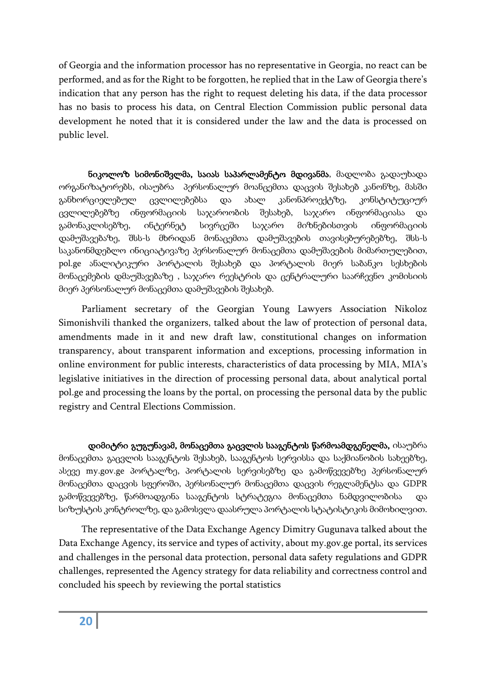of Georgia and the information processor has no representative in Georgia, no react can be performed, and as for the Right to be forgotten, he replied that in the Law of Georgia there's indication that any person has the right to request deleting his data, if the data processor has no basis to process his data, on Central Election Commission public personal data development he noted that it is considered under the law and the data is processed on public level.

ნიკოლოზ სიმონიშვლმა, საიას საპარლამენტო მდივანმა, მადლობა გადაუხადა ორგანიზატორებს, ისაუბრა პერსონალურ მოანცემთა დაცვის შესახებ კანონზე, მასში განხორციელებულ ცვლილებებსა და ახალ კანონპროექტზე, კონსტიტუციურ ცვლილებებზე ინფორმაციის საჯაროობის შესახებ, საჯარო ინფორმაციასა და გამონაკლისებზე, ინტერნეტ სივრცეში საჯარო მიზნებისთვის ინფორმაციის დამუშავებაზე, შსს-ს მხრიდან მონაცემთა დამუშავების თავისებურებებზე, შსს-ს საკანონმდებლო ინიციატივაზე პერსონალურ მონაცემთა დამუშავების მიმართულებით, pol.ge ანალიტიკური პორტალის შესახებ და პორტალის მიერ საბანკო სესხების მონაცემების დმაუშავებაზე , საჯარო რეესტრის და ცენტრალური საარჩევნო კომისიის მიერ პერსონალურ მონაცემთა დამუშავების შესახებ.

Parliament secretary of the Georgian Young Lawyers Association Nikoloz Simonishvili thanked the organizers, talked about the law of protection of personal data, amendments made in it and new draft law, constitutional changes on information transparency, about transparent information and exceptions, processing information in online environment for public interests, characteristics of data processing by MIA, MIA's legislative initiatives in the direction of processing personal data, about analytical portal pol.ge and processing the loans by the portal, on processing the personal data by the public registry and Central Elections Commission.

დიმიტრი გუგუნავამ, მონაცემთა გაცვლის სააგენტოს წარმოამდგენელმა, ისაუბრა მონაცემთა გაცვლის სააგენტოს შესახებ, სააგენტოს სერვისსა და საქმიანობის სახეებზე, ასევე my.gov.ge პორტალზე, პორტალის სერვისებზე და გამოწვევებზე პერსონალურ მონაცემთა დაცვის სფეროში, პერსონალურ მონაცემთა დაცვის რეგლამენტსა და GDPR გამოწვევებზე, წარმოადგინა სააგენტოს სტრატეგია მონაცემთა ნამდვილობისა და სიზუსტის კონტროლზე, და გამოსვლა დაასრულა პორტალის სტატისტიკის მიმოხილვით.

The representative of the Data Exchange Agency Dimitry Gugunava talked about the Data Exchange Agency, its service and types of activity, about my.gov.ge portal, its services and challenges in the personal data protection, personal data safety regulations and GDPR challenges, represented the Agency strategy for data reliability and correctness control and concluded his speech by reviewing the portal statistics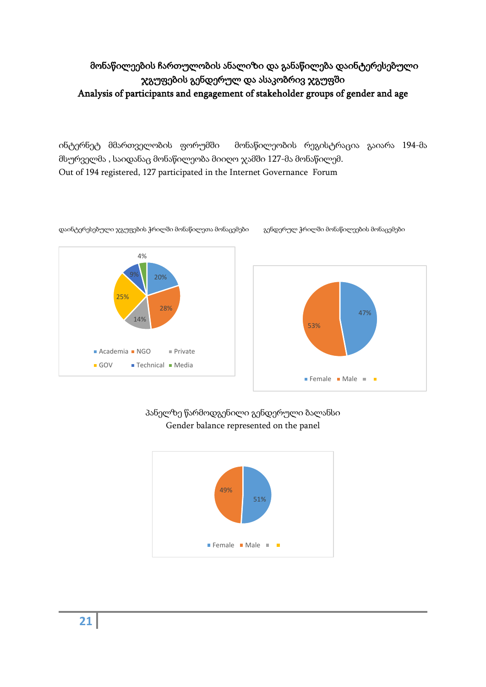# მონაწილეების ჩართულობის ანალიზი და განაწილება დაინტერესებული ჯგუფების გენდერულ და ასაკობრივ ჯგუფში Analysis of participants and engagement of stakeholder groups of gender and age

ინტერნეტ მმართველობის ფორუმში მონაწილეობის რეგისტრაცია გაიარა 194-მა მსურველმა , საიდანაც მონაწილეობა მიიღო ჯამში 127-მა მონაწილემ. Out of 194 registered, 127 participated in the Internet Governance Forum



დაინტერესებული ჯგუფების ჭრილში მონაწილეთა მონაცემები გენდერულ ჭრილში მონაწილეების მონაცემები



პანელზე წარმოდგენილი გენდერული ბალანსი Gender balance represented on the panel



**21**